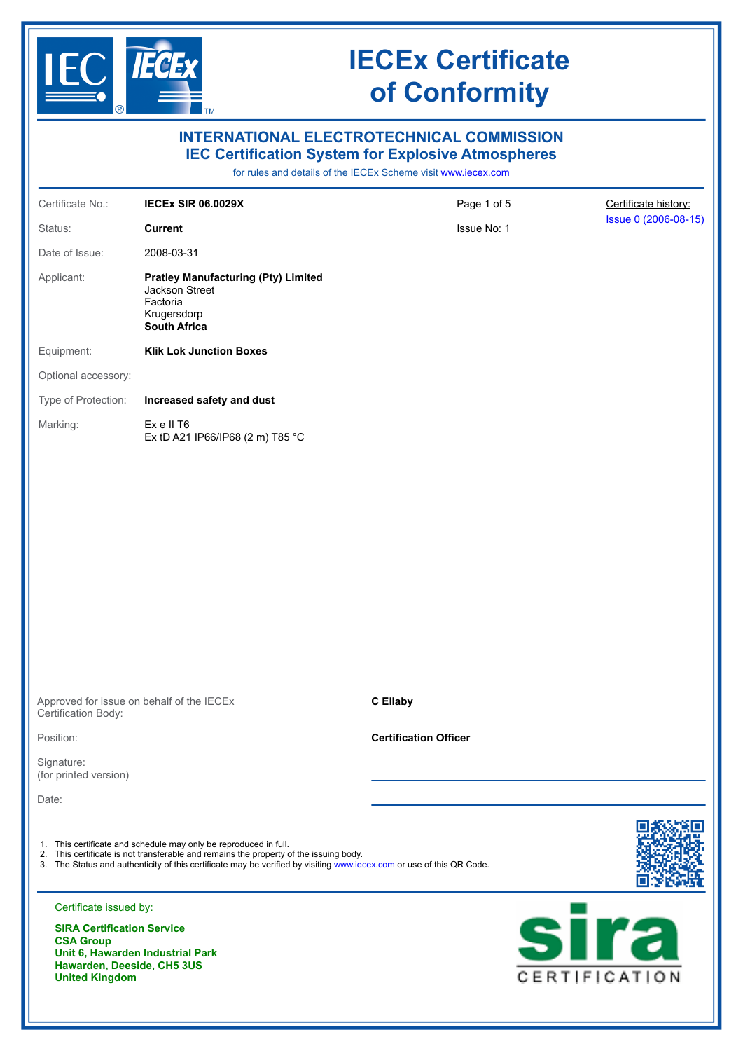

| <b>INTERNATIONAL ELECTROTECHNICAL COMMISSION</b><br><b>IEC Certification System for Explosive Atmospheres</b><br>for rules and details of the IECEx Scheme visit www.iecex.com |                                                                                                                                                                                                                                                                                   |                              |                       |                      |
|--------------------------------------------------------------------------------------------------------------------------------------------------------------------------------|-----------------------------------------------------------------------------------------------------------------------------------------------------------------------------------------------------------------------------------------------------------------------------------|------------------------------|-----------------------|----------------------|
| Certificate No.:                                                                                                                                                               | <b>IECEX SIR 06.0029X</b>                                                                                                                                                                                                                                                         | Page 1 of 5                  |                       | Certificate history: |
| Status:                                                                                                                                                                        | <b>Current</b>                                                                                                                                                                                                                                                                    | Issue No: 1                  |                       | Issue 0 (2006-08-15) |
| Date of Issue:                                                                                                                                                                 | 2008-03-31                                                                                                                                                                                                                                                                        |                              |                       |                      |
| Applicant:                                                                                                                                                                     | <b>Pratley Manufacturing (Pty) Limited</b><br>Jackson Street<br>Factoria<br>Krugersdorp<br><b>South Africa</b>                                                                                                                                                                    |                              |                       |                      |
| Equipment:                                                                                                                                                                     | <b>Klik Lok Junction Boxes</b>                                                                                                                                                                                                                                                    |                              |                       |                      |
| Optional accessory:                                                                                                                                                            |                                                                                                                                                                                                                                                                                   |                              |                       |                      |
| Type of Protection:                                                                                                                                                            | Increased safety and dust                                                                                                                                                                                                                                                         |                              |                       |                      |
| Marking:                                                                                                                                                                       | Exell T6<br>Ex tD A21 IP66/IP68 (2 m) T85 °C                                                                                                                                                                                                                                      |                              |                       |                      |
| Approved for issue on behalf of the IECEx<br>Certification Body:                                                                                                               |                                                                                                                                                                                                                                                                                   | <b>C</b> Ellaby              |                       |                      |
| Position:                                                                                                                                                                      |                                                                                                                                                                                                                                                                                   | <b>Certification Officer</b> |                       |                      |
| Signature:                                                                                                                                                                     |                                                                                                                                                                                                                                                                                   |                              |                       |                      |
| (for printed version)                                                                                                                                                          |                                                                                                                                                                                                                                                                                   |                              |                       |                      |
| Date:                                                                                                                                                                          |                                                                                                                                                                                                                                                                                   |                              |                       |                      |
|                                                                                                                                                                                | 1. This certificate and schedule may only be reproduced in full.<br>2. This certificate is not transferable and remains the property of the issuing body.<br>3. The Status and authenticity of this certificate may be verified by visiting www.iecex.com or use of this QR Code. |                              |                       |                      |
| Certificate issued by:                                                                                                                                                         |                                                                                                                                                                                                                                                                                   |                              |                       |                      |
| <b>SIRA Certification Service</b><br><b>CSA Group</b><br>Unit 6, Hawarden Industrial Park<br>Hawarden, Deeside, CH5 3US<br><b>United Kingdom</b>                               |                                                                                                                                                                                                                                                                                   |                              | sira<br>CERTIFICATION |                      |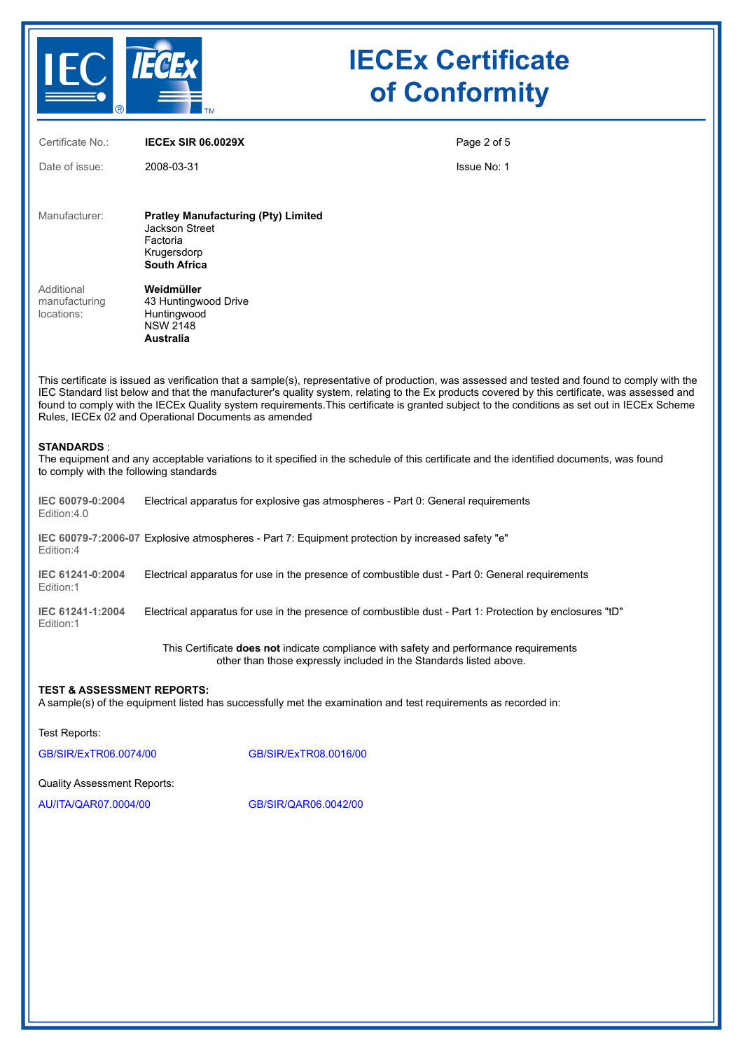

| Certificate No.:                                                                                                                                                                                                                                                                                                                                                                                                                                                                                         | <b>IECEX SIR 06.0029X</b>                                                                                                               | Page 2 of 5 |  |  |
|----------------------------------------------------------------------------------------------------------------------------------------------------------------------------------------------------------------------------------------------------------------------------------------------------------------------------------------------------------------------------------------------------------------------------------------------------------------------------------------------------------|-----------------------------------------------------------------------------------------------------------------------------------------|-------------|--|--|
| Date of issue:                                                                                                                                                                                                                                                                                                                                                                                                                                                                                           | 2008-03-31                                                                                                                              | Issue No: 1 |  |  |
| Manufacturer:                                                                                                                                                                                                                                                                                                                                                                                                                                                                                            | <b>Pratley Manufacturing (Pty) Limited</b><br><b>Jackson Street</b><br>Factoria<br>Krugersdorp<br><b>South Africa</b>                   |             |  |  |
| Additional<br>manufacturing<br>locations:                                                                                                                                                                                                                                                                                                                                                                                                                                                                | Weidmüller<br>43 Huntingwood Drive<br>Huntingwood<br><b>NSW 2148</b><br><b>Australia</b>                                                |             |  |  |
| This certificate is issued as verification that a sample(s), representative of production, was assessed and tested and found to comply with the<br>IEC Standard list below and that the manufacturer's quality system, relating to the Ex products covered by this certificate, was assessed and<br>found to comply with the IECEx Quality system requirements. This certificate is granted subject to the conditions as set out in IECEx Scheme<br>Rules, IECEx 02 and Operational Documents as amended |                                                                                                                                         |             |  |  |
| <b>STANDARDS:</b><br>to comply with the following standards                                                                                                                                                                                                                                                                                                                                                                                                                                              | The equipment and any acceptable variations to it specified in the schedule of this certificate and the identified documents, was found |             |  |  |
| IEC 60079-0:2004<br>Edition:4.0                                                                                                                                                                                                                                                                                                                                                                                                                                                                          | Electrical apparatus for explosive gas atmospheres - Part 0: General requirements                                                       |             |  |  |
| Edition:4                                                                                                                                                                                                                                                                                                                                                                                                                                                                                                | IEC 60079-7:2006-07 Explosive atmospheres - Part 7: Equipment protection by increased safety "e"                                        |             |  |  |
| IEC 61241-0:2004<br>Edition:1                                                                                                                                                                                                                                                                                                                                                                                                                                                                            | Electrical apparatus for use in the presence of combustible dust - Part 0: General requirements                                         |             |  |  |
| IEC 61241-1:2004<br>Edition:1                                                                                                                                                                                                                                                                                                                                                                                                                                                                            | Electrical apparatus for use in the presence of combustible dust - Part 1: Protection by enclosures "tD"                                |             |  |  |
|                                                                                                                                                                                                                                                                                                                                                                                                                                                                                                          |                                                                                                                                         |             |  |  |

This Certificate **does not** indicate compliance with safety and performance requirements other than those expressly included in the Standards listed above.

### **TEST & ASSESSMENT REPORTS:**

A sample(s) of the equipment listed has successfully met the examination and test requirements as recorded in:

Test Reports:

[GB/SIR/ExTR06.0074/00](https://www.iecex-certs.com/deliverables/REPORT/24455/view) [GB/SIR/ExTR08.0016/00](https://www.iecex-certs.com/deliverables/REPORT/24180/view)

Quality Assessment Reports:

[AU/ITA/QAR07.0004/00](https://www.iecex-certs.com/deliverables/REPORT/39513/view) [GB/SIR/QAR06.0042/00](https://www.iecex-certs.com/deliverables/REPORT/49856/view)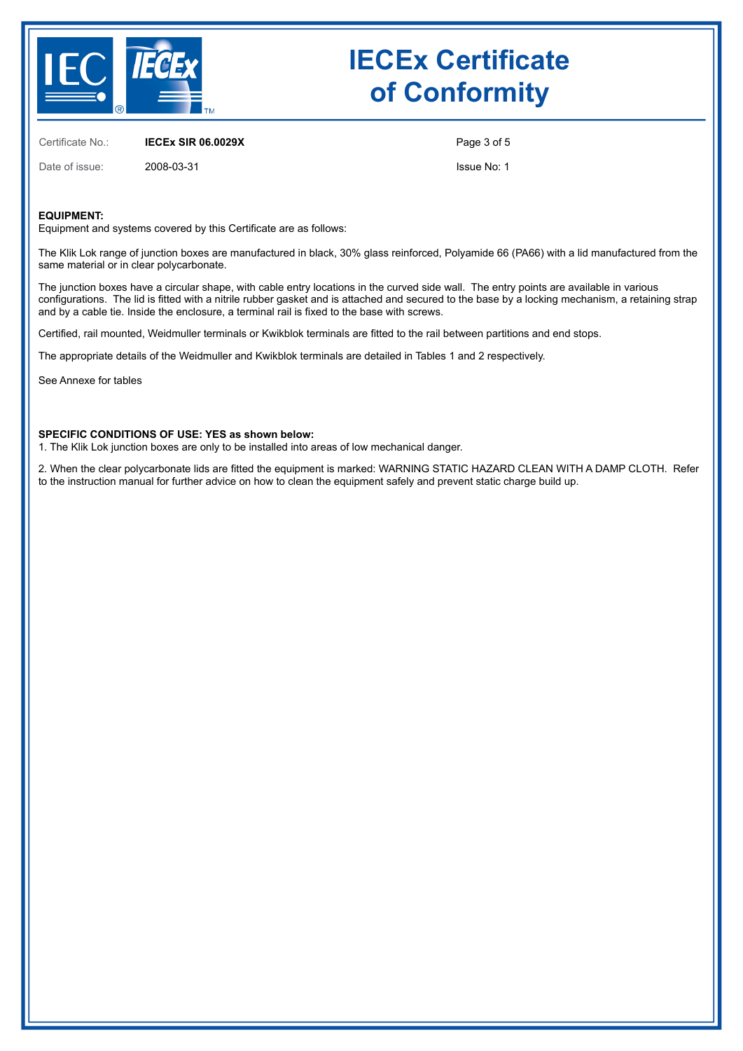

Certificate No.: **IECEx SIR 06.0029X**

Date of issue: 2008-03-31

Page 3 of 5

Issue No: 1

#### **EQUIPMENT:**

Equipment and systems covered by this Certificate are as follows:

The Klik Lok range of junction boxes are manufactured in black, 30% glass reinforced, Polyamide 66 (PA66) with a lid manufactured from the same material or in clear polycarbonate.

The junction boxes have a circular shape, with cable entry locations in the curved side wall. The entry points are available in various configurations. The lid is fitted with a nitrile rubber gasket and is attached and secured to the base by a locking mechanism, a retaining strap and by a cable tie. Inside the enclosure, a terminal rail is fixed to the base with screws.

Certified, rail mounted, Weidmuller terminals or Kwikblok terminals are fitted to the rail between partitions and end stops.

The appropriate details of the Weidmuller and Kwikblok terminals are detailed in Tables 1 and 2 respectively.

See Annexe for tables

#### **SPECIFIC CONDITIONS OF USE: YES as shown below:**

1. The Klik Lok junction boxes are only to be installed into areas of low mechanical danger.

2. When the clear polycarbonate lids are fitted the equipment is marked: WARNING STATIC HAZARD CLEAN WITH A DAMP CLOTH. Refer to the instruction manual for further advice on how to clean the equipment safely and prevent static charge build up.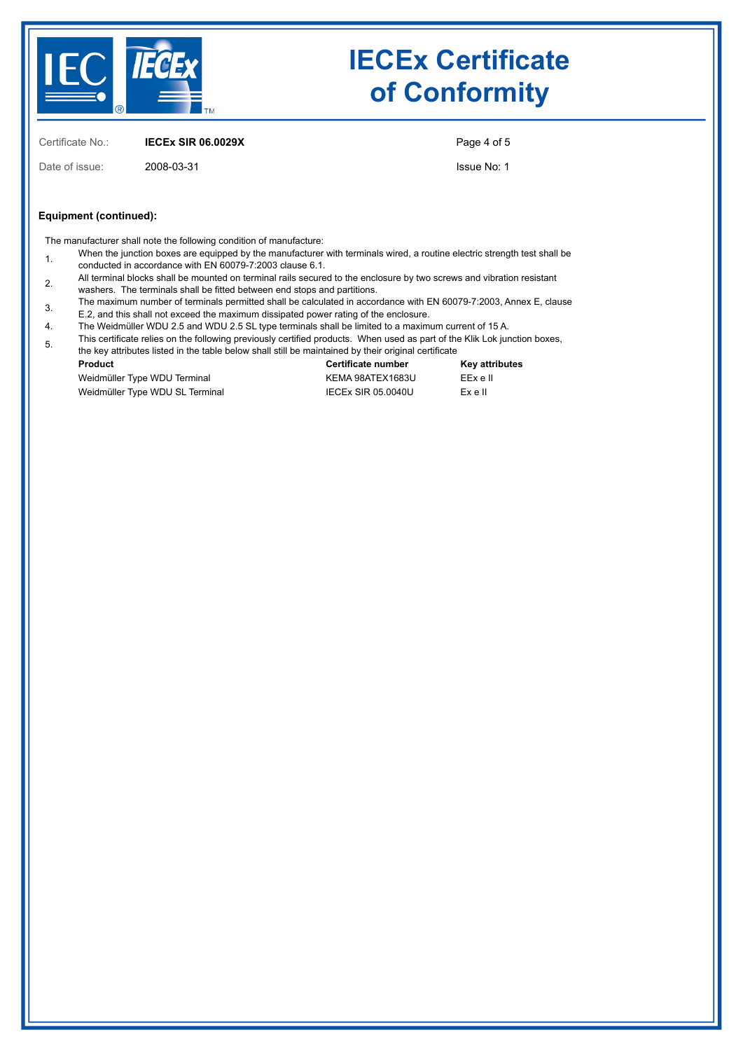

Certificate No.: **IECEx SIR 06.0029X**

Date of issue: 2008-03-31

Page 4 of 5

Issue No: 1

#### **Equipment (continued):**

The manufacturer shall note the following condition of manufacture:

- When the junction boxes are equipped by the manufacturer with terminals wired, a routine electric strength test shall be conducted in accordance with EN 60079-7:2003 clause 6.1.
- 2. All terminal blocks shall be mounted on terminal rails secured to the enclosure by two screws and vibration resistant washers. The terminals shall be fitted between end stops and partitions.
- 3. The maximum number of terminals permitted shall be calculated in accordance with EN 60079-7:2003, Annex E, clause E.2, and this shall not exceed the maximum dissipated power rating of the enclosure.
- 4. The Weidmüller WDU 2.5 and WDU 2.5 SL type terminals shall be limited to a maximum current of 15 A.
- 
- 5. This certificate relies on the following previously certified products. When used as part of the Klik Lok junction boxes, the key attributes listed in the table below shall still be maintained by their original certificate

| Product                         | Certificate number | Key attributes |
|---------------------------------|--------------------|----------------|
| Weidmüller Type WDU Terminal    | KEMA 98ATEX1683U   | EExell         |
| Weidmüller Type WDU SL Terminal | IECEX SIR 05.0040U | Exell          |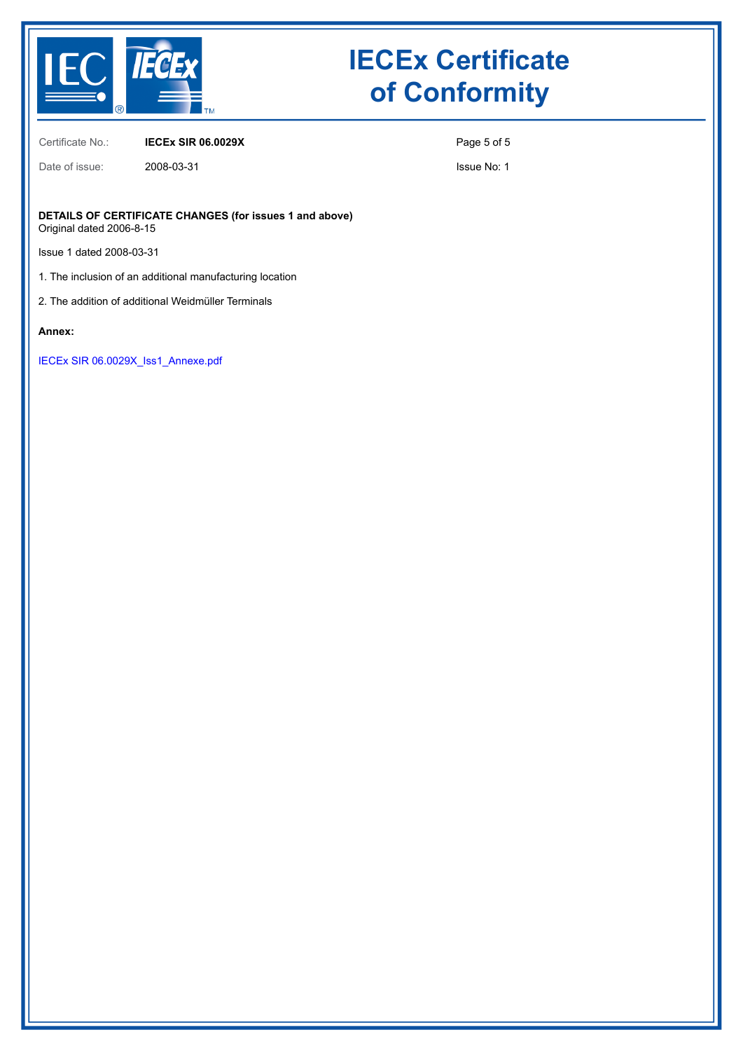

Date of issue: 2008-03-31

### **IECEx Certificate of Conformity**

Certificate No.: **IECEx SIR 06.0029X**

Page 5 of 5

Issue No: 1

**DETAILS OF CERTIFICATE CHANGES (for issues 1 and above)** Original dated 2006-8-15

Issue 1 dated 2008-03-31

1. The inclusion of an additional manufacturing location

2. The addition of additional Weidmüller Terminals

**Annex:**

[IECEx SIR 06.0029X\\_Iss1\\_Annexe.pdf](https://www.iecex-certs.com/deliverables/CERT/31870/view)